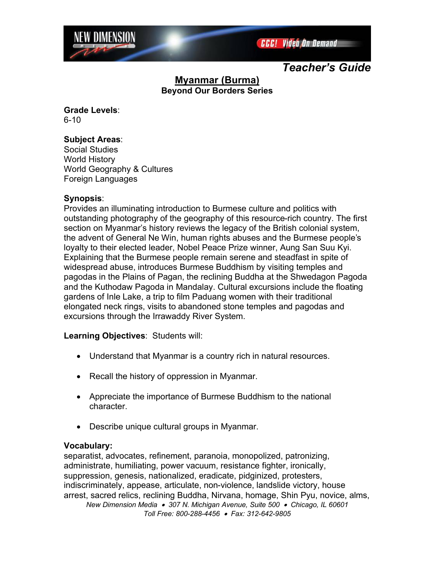

*Teacher's Guide*

# **Myanmar (Burma) Beyond Our Borders Series**

**Grade Levels**: 6-10

## **Subject Areas**:

Social Studies World History World Geography & Cultures Foreign Languages

## **Synopsis**:

Provides an illuminating introduction to Burmese culture and politics with outstanding photography of the geography of this resource-rich country. The first section on Myanmar's history reviews the legacy of the British colonial system, the advent of General Ne Win, human rights abuses and the Burmese people's loyalty to their elected leader, Nobel Peace Prize winner, Aung San Suu Kyi. Explaining that the Burmese people remain serene and steadfast in spite of widespread abuse, introduces Burmese Buddhism by visiting temples and pagodas in the Plains of Pagan, the reclining Buddha at the Shwedagon Pagoda and the Kuthodaw Pagoda in Mandalay. Cultural excursions include the floating gardens of Inle Lake, a trip to film Paduang women with their traditional elongated neck rings, visits to abandoned stone temples and pagodas and excursions through the Irrawaddy River System.

## **Learning Objectives**: Students will:

- Understand that Myanmar is a country rich in natural resources.
- Recall the history of oppression in Myanmar.
- Appreciate the importance of Burmese Buddhism to the national character.
- Describe unique cultural groups in Myanmar.

### **Vocabulary:**

*New Dimension Media 307 N. Michigan Avenue, Suite 500 Chicago, IL 60601* separatist, advocates, refinement, paranoia, monopolized, patronizing, administrate, humiliating, power vacuum, resistance fighter, ironically, suppression, genesis, nationalized, eradicate, pidginized, protesters, indiscriminately, appease, articulate, non-violence, landslide victory, house arrest, sacred relics, reclining Buddha, Nirvana, homage, Shin Pyu, novice, alms,

*Toll Free: 800-288-4456 Fax: 312-642-9805*